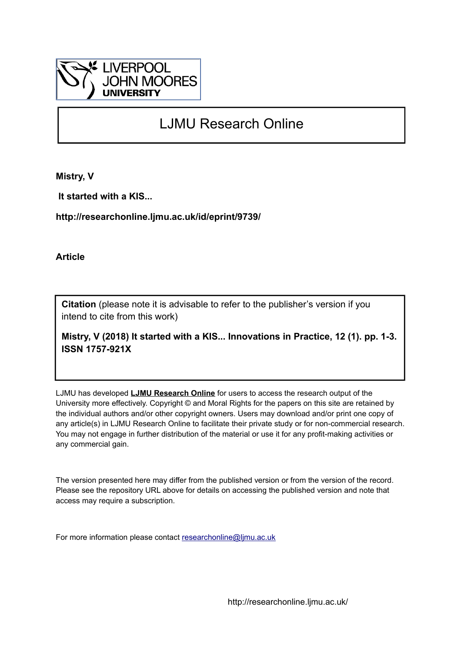

## LJMU Research Online

**Mistry, V**

 **It started with a KIS...**

**http://researchonline.ljmu.ac.uk/id/eprint/9739/**

**Article**

**Citation** (please note it is advisable to refer to the publisher's version if you intend to cite from this work)

**Mistry, V (2018) It started with a KIS... Innovations in Practice, 12 (1). pp. 1-3. ISSN 1757-921X** 

LJMU has developed **[LJMU Research Online](http://researchonline.ljmu.ac.uk/)** for users to access the research output of the University more effectively. Copyright © and Moral Rights for the papers on this site are retained by the individual authors and/or other copyright owners. Users may download and/or print one copy of any article(s) in LJMU Research Online to facilitate their private study or for non-commercial research. You may not engage in further distribution of the material or use it for any profit-making activities or any commercial gain.

The version presented here may differ from the published version or from the version of the record. Please see the repository URL above for details on accessing the published version and note that access may require a subscription.

For more information please contact [researchonline@ljmu.ac.uk](mailto:researchonline@ljmu.ac.uk)

http://researchonline.ljmu.ac.uk/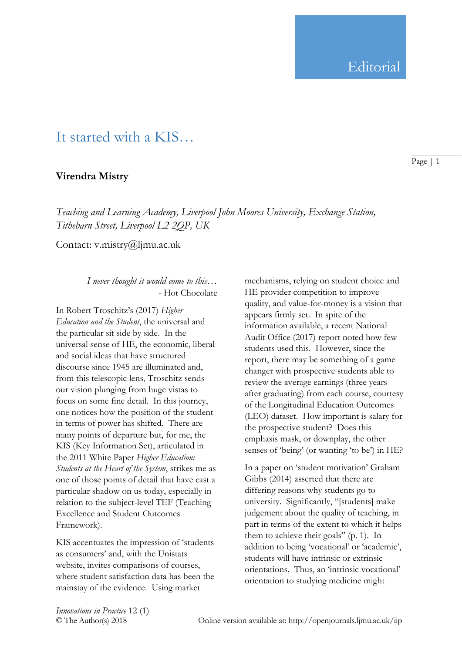## It started with a KIS…

## **Virendra Mistry**

*Teaching and Learning Academy, Liverpool John Moores University, Exchange Station, Tithebarn Street, Liverpool L2 2QP, UK*

Contact: v.mistry@ljmu.ac.uk

*I never thought it would come to this…* - Hot Chocolate

In Robert Troschitz's (2017) *Higher Education and the Student*, the universal and the particular sit side by side. In the universal sense of HE, the economic, liberal and social ideas that have structured discourse since 1945 are illuminated and, from this telescopic lens, Troschitz sends our vision plunging from huge vistas to focus on some fine detail. In this journey, one notices how the position of the student in terms of power has shifted. There are many points of departure but, for me, the KIS (Key Information Set), articulated in the 2011 White Paper *Higher Education: Students at the Heart of the System*, strikes me as one of those points of detail that have cast a particular shadow on us today, especially in relation to the subject-level TEF (Teaching Excellence and Student Outcomes Framework).

KIS accentuates the impression of 'students as consumers' and, with the Unistats website, invites comparisons of courses, where student satisfaction data has been the mainstay of the evidence. Using market

mechanisms, relying on student choice and HE provider competition to improve quality, and value-for-money is a vision that appears firmly set. In spite of the information available, a recent National Audit Office (2017) report noted how few students used this. However, since the report, there may be something of a game changer with prospective students able to review the average earnings (three years after graduating) from each course, courtesy of the Longitudinal Education Outcomes (LEO) dataset. How important is salary for the prospective student? Does this emphasis mask, or downplay, the other senses of 'being' (or wanting 'to be') in HE?

In a paper on 'student motivation' Graham Gibbs (2014) asserted that there are differing reasons why students go to university. Significantly, "[students] make judgement about the quality of teaching, in part in terms of the extent to which it helps them to achieve their goals" (p. 1). In addition to being 'vocational' or 'academic', students will have intrinsic or extrinsic orientations. Thus, an 'intrinsic vocational' orientation to studying medicine might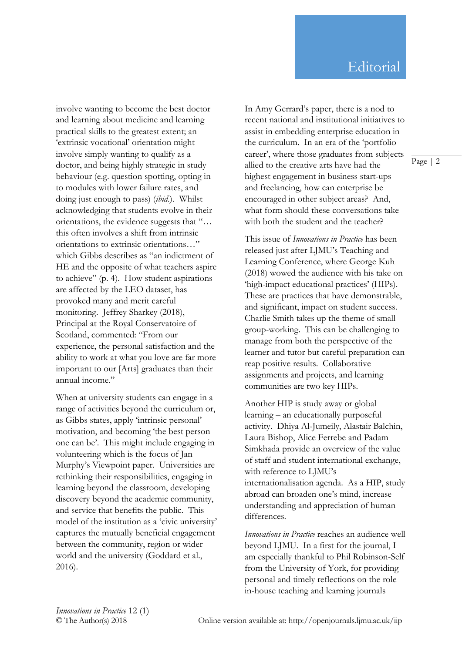involve wanting to become the best doctor and learning about medicine and learning practical skills to the greatest extent; an 'extrinsic vocational' orientation might involve simply wanting to qualify as a doctor, and being highly strategic in study behaviour (e.g. question spotting, opting in to modules with lower failure rates, and doing just enough to pass) (*ibid.*). Whilst acknowledging that students evolve in their orientations, the evidence suggests that "… this often involves a shift from intrinsic orientations to extrinsic orientations…" which Gibbs describes as "an indictment of HE and the opposite of what teachers aspire to achieve" (p. 4). How student aspirations are affected by the LEO dataset, has provoked many and merit careful monitoring. Jeffrey Sharkey (2018), Principal at the Royal Conservatoire of Scotland, commented: "From our experience, the personal satisfaction and the ability to work at what you love are far more important to our [Arts] graduates than their annual income."

When at university students can engage in a range of activities beyond the curriculum or, as Gibbs states, apply 'intrinsic personal' motivation, and becoming 'the best person one can be'. This might include engaging in volunteering which is the focus of Jan Murphy's Viewpoint paper. Universities are rethinking their responsibilities, engaging in learning beyond the classroom, developing discovery beyond the academic community, and service that benefits the public. This model of the institution as a 'civic university' captures the mutually beneficial engagement between the community, region or wider world and the university (Goddard et al., 2016).

In Amy Gerrard's paper, there is a nod to recent national and institutional initiatives to assist in embedding enterprise education in the curriculum. In an era of the 'portfolio career', where those graduates from subjects allied to the creative arts have had the highest engagement in business start-ups and freelancing, how can enterprise be encouraged in other subject areas? And, what form should these conversations take with both the student and the teacher?

This issue of *Innovations in Practice* has been released just after LJMU's Teaching and Learning Conference, where George Kuh (2018) wowed the audience with his take on 'high-impact educational practices' (HIPs). These are practices that have demonstrable, and significant, impact on student success. Charlie Smith takes up the theme of small group-working. This can be challenging to manage from both the perspective of the learner and tutor but careful preparation can reap positive results. Collaborative assignments and projects, and learning communities are two key HIPs.

Another HIP is study away or global learning – an educationally purposeful activity. Dhiya Al-Jumeily, Alastair Balchin, Laura Bishop, Alice Ferrebe and Padam Simkhada provide an overview of the value of staff and student international exchange, with reference to LJMU's internationalisation agenda. As a HIP, study abroad can broaden one's mind, increase understanding and appreciation of human differences.

*Innovations in Practice* reaches an audience well beyond LJMU. In a first for the journal, I am especially thankful to Phil Robinson-Self from the University of York, for providing personal and timely reflections on the role in-house teaching and learning journals